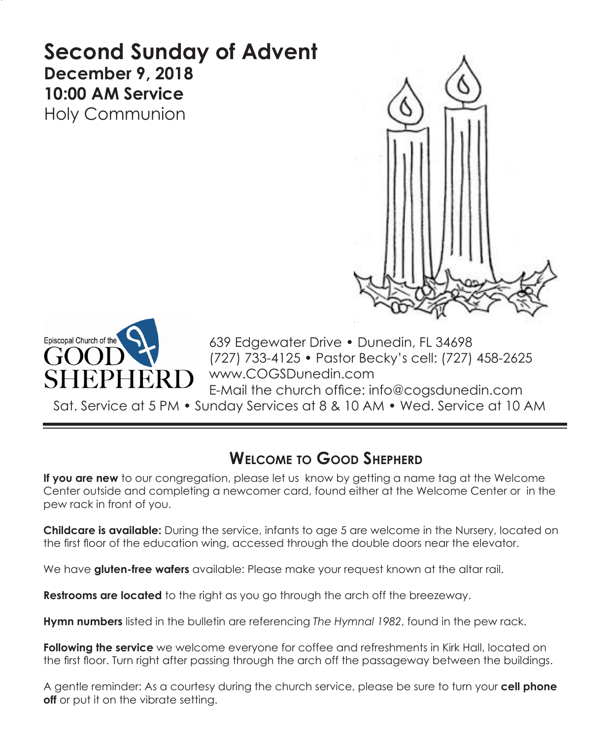# **Second Sunday of Advent December 9, 2018 10:00 AM Service**  Holy Communion





639 Edgewater Drive • Dunedin, FL 34698 (727) 733-4125 • Pastor Becky's cell: (727) 458-2625 www.COGSDunedin.com E-Mail the church office: info@cogsdunedin.com

Sat. Service at 5 PM • Sunday Services at 8 & 10 AM • Wed. Service at 10 AM

# **Welcome to Good Shepherd**

**If you are new** to our congregation, please let us know by getting a name tag at the Welcome Center outside and completing a newcomer card, found either at the Welcome Center or in the pew rack in front of you.

**Childcare is available:** During the service, infants to age 5 are welcome in the Nursery, located on the first floor of the education wing, accessed through the double doors near the elevator.

We have **gluten-free wafers** available: Please make your request known at the altar rail.

**Restrooms are located** to the right as you go through the arch off the breezeway.

**Hymn numbers** listed in the bulletin are referencing *The Hymnal 1982*, found in the pew rack.

**Following the service** we welcome everyone for coffee and refreshments in Kirk Hall, located on the first floor. Turn right after passing through the arch off the passageway between the buildings.

A gentle reminder: As a courtesy during the church service, please be sure to turn your **cell phone off** or put it on the vibrate setting.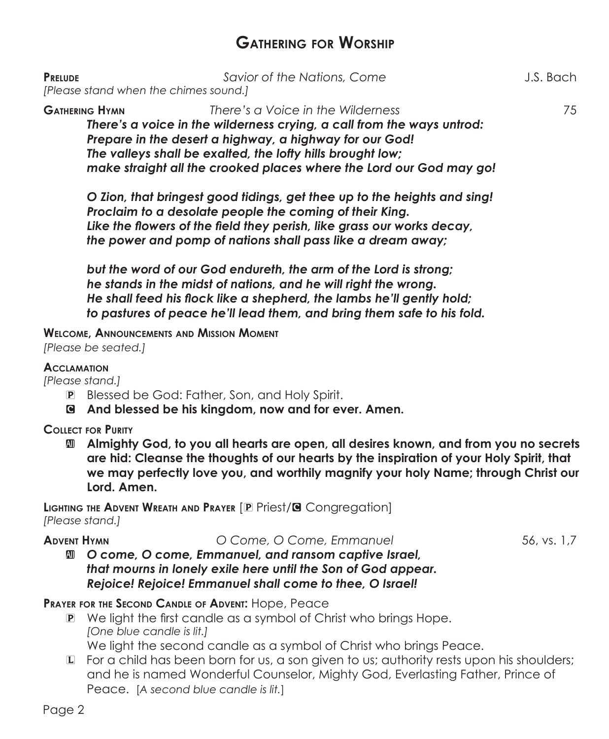## **Gathering for Worship**

| <b>PRELUDE</b><br>[Please stand when the chimes sound.]                                                                                                                                                                                                                                                                              | Savior of the Nations, Come                                                                                                                                                                                                                                                            | J.S. Bach |
|--------------------------------------------------------------------------------------------------------------------------------------------------------------------------------------------------------------------------------------------------------------------------------------------------------------------------------------|----------------------------------------------------------------------------------------------------------------------------------------------------------------------------------------------------------------------------------------------------------------------------------------|-----------|
| There's a Voice in the Wilderness<br><b>GATHERING HYMN</b><br>There's a voice in the wilderness crying, a call from the ways untrod:<br>Prepare in the desert a highway, a highway for our God!<br>The valleys shall be exalted, the lofty hills brought low;<br>make straight all the crooked places where the Lord our God may go! |                                                                                                                                                                                                                                                                                        | 75        |
|                                                                                                                                                                                                                                                                                                                                      | O Zion, that bringest good tidings, get thee up to the heights and sing!<br>Proclaim to a desolate people the coming of their King.<br>Like the flowers of the field they perish, like grass our works decay,<br>the power and pomp of nations shall pass like a dream away;           |           |
|                                                                                                                                                                                                                                                                                                                                      | but the word of our God endureth, the arm of the Lord is strong;<br>he stands in the midst of nations, and he will right the wrong.<br>He shall feed his flock like a shepherd, the lambs he'll gently hold;<br>to pastures of peace he'll lead them, and bring them safe to his fold. |           |
| [Please be seated.]                                                                                                                                                                                                                                                                                                                  | <b>WELCOME, ANNOUNCEMENTS AND MISSION MOMENT</b>                                                                                                                                                                                                                                       |           |

## **Acclamation**

*[Please stand.]*

- P Blessed be God: Father, Son, and Holy Spirit.
- C **And blessed be his kingdom, now and for ever. Amen.**

**Collect for Purity**

 $\mathbf{M}$  **Almighty God, to you all hearts are open, all desires known, and from you no secrets are hid: Cleanse the thoughts of our hearts by the inspiration of your Holy Spirit, that we may perfectly love you, and worthily magnify your holy Name; through Christ our Lord. Amen.**

**Lighting the Advent Wreath and Prayer** [P Priest/C Congregation] *[Please stand.]*

**Advent Hymn** *O Come, O Come, Emmanuel* 56, vs. 1,7

a *O come, O come, Emmanuel, and ransom captive Israel, that mourns in lonely exile here until the Son of God appear. Rejoice! Rejoice! Emmanuel shall come to thee, O Israel!*

**Prayer for the Second Candle of Advent:** Hope, Peace

P We light the first candle as a symbol of Christ who brings Hope.  *[One blue candle is lit.]*

We light the second candle as a symbol of Christ who brings Peace.

 $L$  For a child has been born for us, a son given to us; authority rests upon his shoulders; and he is named Wonderful Counselor, Mighty God, Everlasting Father, Prince of Peace.[*A second blue candle is lit.*]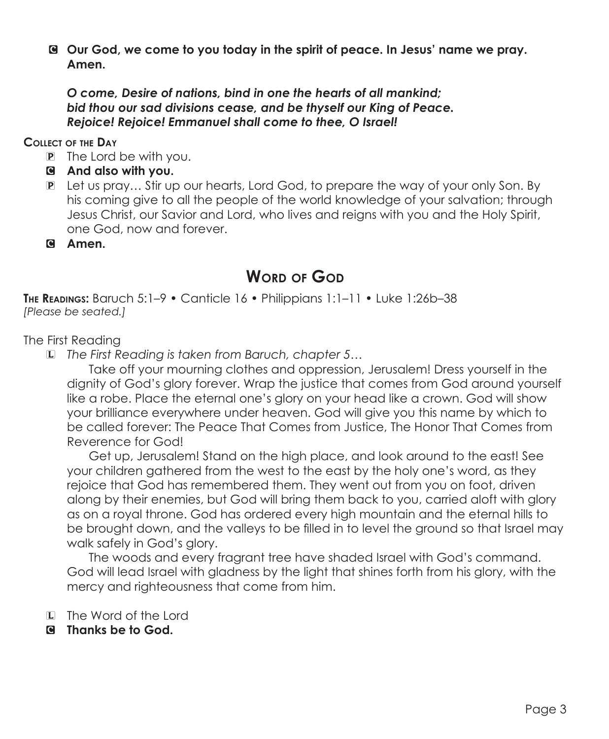C **Our God, we come to you today in the spirit of peace. In Jesus' name we pray. Amen.**

*O come, Desire of nations, bind in one the hearts of all mankind; bid thou our sad divisions cease, and be thyself our King of Peace. Rejoice! Rejoice! Emmanuel shall come to thee, O Israel!*

## **Collect of the Day**

- P The Lord be with you.
- C **And also with you.**
- P Let us pray… Stir up our hearts, Lord God, to prepare the way of your only Son. By his coming give to all the people of the world knowledge of your salvation; through Jesus Christ, our Savior and Lord, who lives and reigns with you and the Holy Spirit, one God, now and forever.
- C **Amen.**

## **WORD OF GOD**

**The Readings:** Baruch 5:1–9 • Canticle 16 • Philippians 1:1–11 • Luke 1:26b–38 *[Please be seated.]*

The First Reading

L *The First Reading is taken from Baruch, chapter 5…*

Take off your mourning clothes and oppression, Jerusalem! Dress yourself in the dignity of God's glory forever. Wrap the justice that comes from God around yourself like a robe. Place the eternal one's glory on your head like a crown. God will show your brilliance everywhere under heaven. God will give you this name by which to be called forever: The Peace That Comes from Justice, The Honor That Comes from Reverence for God!

Get up, Jerusalem! Stand on the high place, and look around to the east! See your children gathered from the west to the east by the holy one's word, as they rejoice that God has remembered them. They went out from you on foot, driven along by their enemies, but God will bring them back to you, carried aloft with glory as on a royal throne. God has ordered every high mountain and the eternal hills to be brought down, and the valleys to be filled in to level the ground so that Israel may walk safely in God's glory.

The woods and every fragrant tree have shaded Israel with God's command. God will lead Israel with gladness by the light that shines forth from his glory, with the mercy and righteousness that come from him.

- L The Word of the Lord
- C **Thanks be to God.**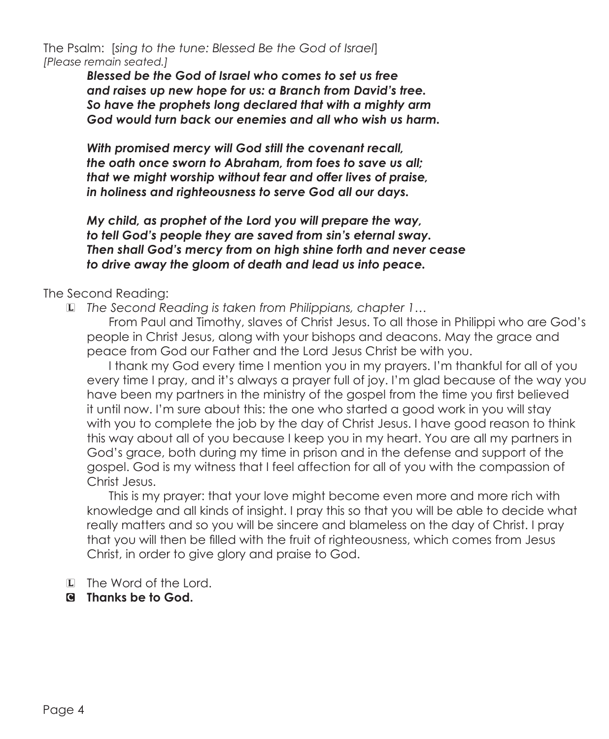The Psalm: [*sing to the tune: Blessed Be the God of Israel*] *[Please remain seated.]*

> *Blessed be the God of Israel who comes to set us free and raises up new hope for us: a Branch from David's tree. So have the prophets long declared that with a mighty arm God would turn back our enemies and all who wish us harm.*

*With promised mercy will God still the covenant recall, the oath once sworn to Abraham, from foes to save us all; that we might worship without fear and offer lives of praise, in holiness and righteousness to serve God all our days.*

*My child, as prophet of the Lord you will prepare the way, to tell God's people they are saved from sin's eternal sway. Then shall God's mercy from on high shine forth and never cease to drive away the gloom of death and lead us into peace.*

## The Second Reading:

L *The Second Reading is taken from Philippians, chapter 1…*

From Paul and Timothy, slaves of Christ Jesus. To all those in Philippi who are God's people in Christ Jesus, along with your bishops and deacons. May the grace and peace from God our Father and the Lord Jesus Christ be with you.

I thank my God every time I mention you in my prayers. I'm thankful for all of you every time I pray, and it's always a prayer full of joy. I'm glad because of the way you have been my partners in the ministry of the gospel from the time you first believed it until now. I'm sure about this: the one who started a good work in you will stay with you to complete the job by the day of Christ Jesus. I have good reason to think this way about all of you because I keep you in my heart. You are all my partners in God's grace, both during my time in prison and in the defense and support of the gospel. God is my witness that I feel affection for all of you with the compassion of Christ Jesus.

This is my prayer: that your love might become even more and more rich with knowledge and all kinds of insight. I pray this so that you will be able to decide what really matters and so you will be sincere and blameless on the day of Christ. I pray that you will then be filled with the fruit of righteousness, which comes from Jesus Christ, in order to give glory and praise to God.

- L The Word of the Lord.
- C **Thanks be to God.**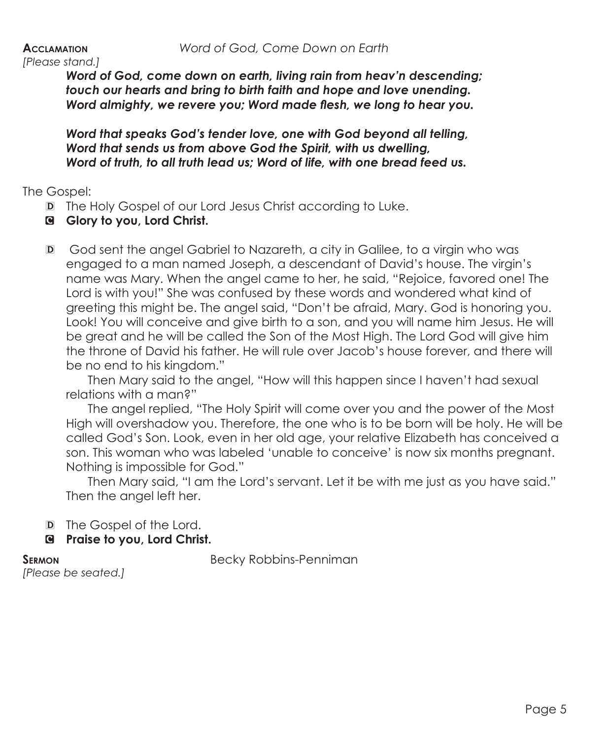*Word of God, come down on earth, living rain from heav'n descending; touch our hearts and bring to birth faith and hope and love unending. Word almighty, we revere you; Word made flesh, we long to hear you.*

*Word that speaks God's tender love, one with God beyond all telling, Word that sends us from above God the Spirit, with us dwelling, Word of truth, to all truth lead us; Word of life, with one bread feed us.*

The Gospel:

- D The Holy Gospel of our Lord Jesus Christ according to Luke.
- C **Glory to you, Lord Christ.**
- D God sent the angel Gabriel to Nazareth, a city in Galilee, to a virgin who was engaged to a man named Joseph, a descendant of David's house. The virgin's name was Mary. When the angel came to her, he said, "Rejoice, favored one! The Lord is with you!" She was confused by these words and wondered what kind of greeting this might be. The angel said, "Don't be afraid, Mary. God is honoring you. Look! You will conceive and give birth to a son, and you will name him Jesus. He will be great and he will be called the Son of the Most High. The Lord God will give him the throne of David his father. He will rule over Jacob's house forever, and there will be no end to his kingdom."

Then Mary said to the angel, "How will this happen since I haven't had sexual relations with a man?"

The angel replied, "The Holy Spirit will come over you and the power of the Most High will overshadow you. Therefore, the one who is to be born will be holy. He will be called God's Son. Look, even in her old age, your relative Elizabeth has conceived a son. This woman who was labeled 'unable to conceive' is now six months pregnant. Nothing is impossible for God."

Then Mary said, "I am the Lord's servant. Let it be with me just as you have said." Then the angel left her.

- D The Gospel of the Lord.
- C **Praise to you, Lord Christ.**

**SERMON** Becky Robbins-Penniman

*[Please be seated.]*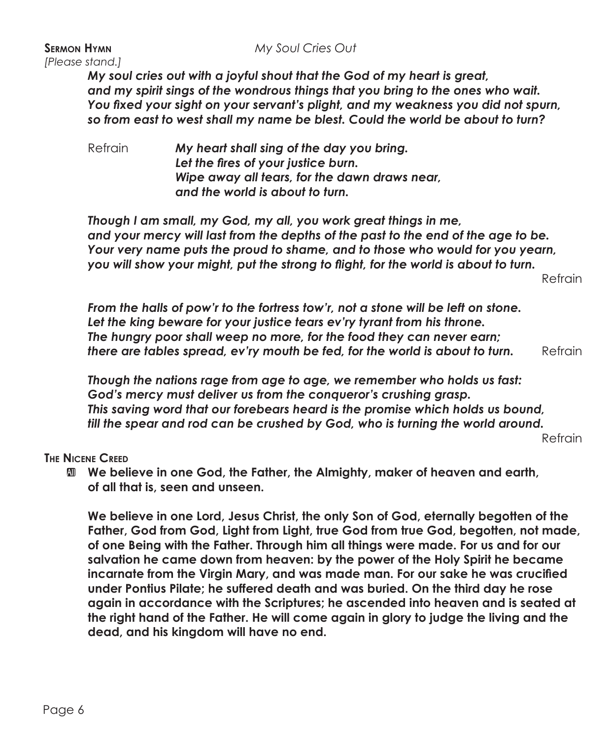## **Sermon Hymn** *My Soul Cries Out*

*[Please stand.]*

*My soul cries out with a joyful shout that the God of my heart is great, and my spirit sings of the wondrous things that you bring to the ones who wait. You fixed your sight on your servant's plight, and my weakness you did not spurn, so from east to west shall my name be blest. Could the world be about to turn?*

Refrain *My heart shall sing of the day you bring. Let the fires of your justice burn. Wipe away all tears, for the dawn draws near, and the world is about to turn.*

*Though I am small, my God, my all, you work great things in me, and your mercy will last from the depths of the past to the end of the age to be. Your very name puts the proud to shame, and to those who would for you yearn, you will show your might, put the strong to flight, for the world is about to turn.* 

Refrain

*From the halls of pow'r to the fortress tow'r, not a stone will be left on stone. Let the king beware for your justice tears ev'ry tyrant from his throne. The hungry poor shall weep no more, for the food they can never earn; there are tables spread, ev'ry mouth be fed, for the world is about to turn.* Refrain

*Though the nations rage from age to age, we remember who holds us fast: God's mercy must deliver us from the conqueror's crushing grasp. This saving word that our forebears heard is the promise which holds us bound, till the spear and rod can be crushed by God, who is turning the world around.* 

Refrain

## **The Nicene Creed**

**M** We believe in one God, the Father, the Almighty, maker of heaven and earth,  **of all that is, seen and unseen.**

 **We believe in one Lord, Jesus Christ, the only Son of God, eternally begotten of the Father, God from God, Light from Light, true God from true God, begotten, not made, of one Being with the Father. Through him all things were made. For us and for our salvation he came down from heaven: by the power of the Holy Spirit he became incarnate from the Virgin Mary, and was made man. For our sake he was crucified under Pontius Pilate; he suffered death and was buried. On the third day he rose again in accordance with the Scriptures; he ascended into heaven and is seated at the right hand of the Father. He will come again in glory to judge the living and the dead, and his kingdom will have no end.**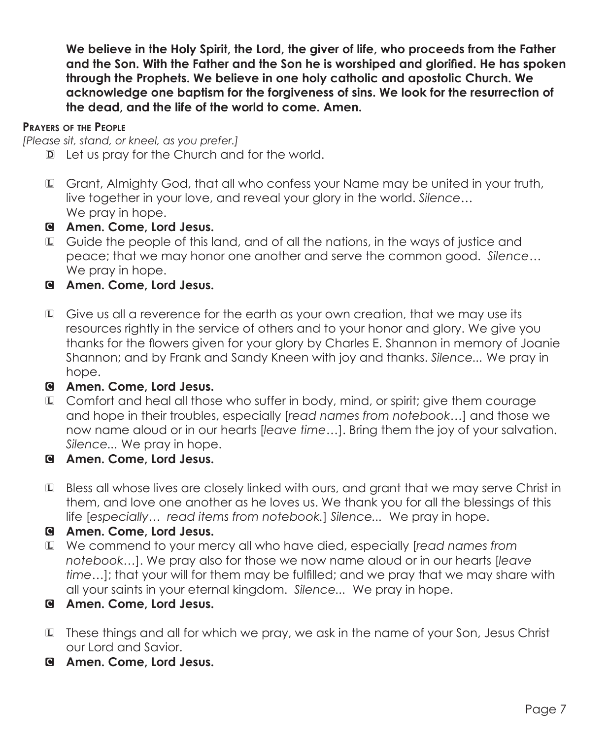**We believe in the Holy Spirit, the Lord, the giver of life, who proceeds from the Father and the Son. With the Father and the Son he is worshiped and glorified. He has spoken through the Prophets. We believe in one holy catholic and apostolic Church. We acknowledge one baptism for the forgiveness of sins. We look for the resurrection of the dead, and the life of the world to come. Amen.**

## **Prayers of the People**

*[Please sit, stand, or kneel, as you prefer.]*

- D Let us pray for the Church and for the world.
- L Grant, Almighty God, that all who confess your Name may be united in your truth, live together in your love, and reveal your glory in the world. *Silence…*  We pray in hope.
- C **Amen. Come, Lord Jesus.**
- L Guide the people of this land, and of all the nations, in the ways of justice and peace; that we may honor one another and serve the common good. *Silence…* We pray in hope.
- C **Amen. Come, Lord Jesus.**
- L Give us all a reverence for the earth as your own creation, that we may use its resources rightly in the service of others and to your honor and glory. We give you thanks for the flowers given for your glory by Charles E. Shannon in memory of Joanie Shannon; and by Frank and Sandy Kneen with joy and thanks. *Silence...* We pray in hope.

## C **Amen. Come, Lord Jesus.**

- L Comfort and heal all those who suffer in body, mind, or spirit; give them courage and hope in their troubles, especially [*read names from notebook…*] and those we now name aloud or in our hearts [*leave time…*]. Bring them the joy of your salvation. *Silence...* We pray in hope.
- C **Amen. Come, Lord Jesus.**
- L Bless all whose lives are closely linked with ours, and grant that we may serve Christ in them, and love one another as he loves us. We thank you for all the blessings of this life [*especially… read items from notebook.*] *Silence...* We pray in hope.
- C **Amen. Come, Lord Jesus.**
- L We commend to your mercy all who have died, especially [*read names from notebook…*]. We pray also for those we now name aloud or in our hearts [*leave time…*]; that your will for them may be fulfilled; and we pray that we may share with all your saints in your eternal kingdom. *Silence...* We pray in hope.
- C **Amen. Come, Lord Jesus.**
- L These things and all for which we pray, we ask in the name of your Son, Jesus Christ our Lord and Savior.
- C **Amen. Come, Lord Jesus.**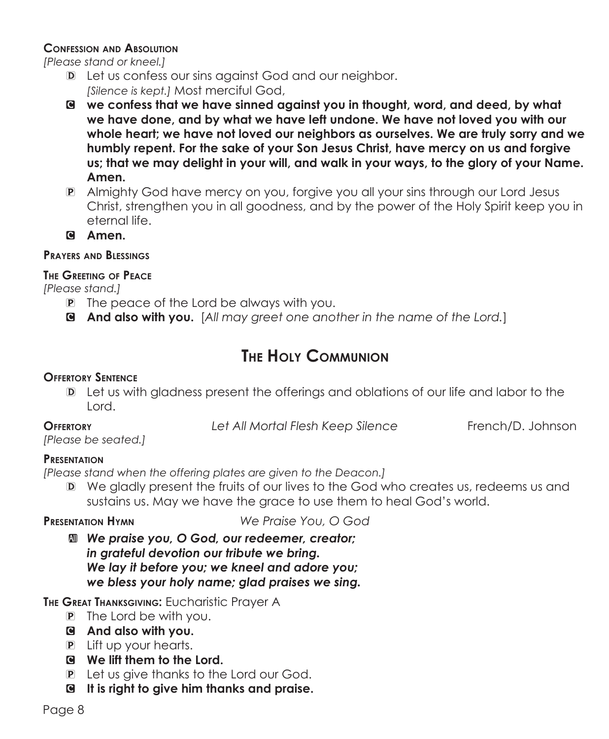## **Confession and Absolution**

*[Please stand or kneel.]*

- D Let us confess our sins against God and our neighbor.  *[Silence is kept.]* Most merciful God,
- C **we confess that we have sinned against you in thought, word, and deed, by what we have done, and by what we have left undone. We have not loved you with our whole heart; we have not loved our neighbors as ourselves. We are truly sorry and we humbly repent. For the sake of your Son Jesus Christ, have mercy on us and forgive us; that we may delight in your will, and walk in your ways, to the glory of your Name. Amen.**
- P Almighty God have mercy on you, forgive you all your sins through our Lord Jesus Christ, strengthen you in all goodness, and by the power of the Holy Spirit keep you in eternal life.
- C **Amen.**

## **Prayers and Blessings**

## **The Greeting of Peace**

*[Please stand.]*

- P The peace of the Lord be always with you.
- C **And also with you.** [*All may greet one another in the name of the Lord.*]

# **The Holy Communion**

## **Offertory Sentence**

D Let us with gladness present the offerings and oblations of our life and labor to the Lord.

**Offertory** *Let All Mortal Flesh Keep Silence* French/D. Johnson

*[Please be seated.]*

## **Presentation**

*[Please stand when the offering plates are given to the Deacon.]*

D We gladly present the fruits of our lives to the God who creates us, redeems us and sustains us. May we have the grace to use them to heal God's world.

**Presentation Hymn** *We Praise You, O God*

 $\mathbf{M}$  **We praise you, O God, our redeemer, creator;** *in grateful devotion our tribute we bring. We lay it before you; we kneel and adore you; we bless your holy name; glad praises we sing.*

**THE GREAT THANKSGIVING: EUCharistic Prayer A** 

- P The Lord be with you.
- C **And also with you.**
- P Lift up your hearts.
- C **We lift them to the Lord.**
- P Let us give thanks to the Lord our God.
- C **It is right to give him thanks and praise.**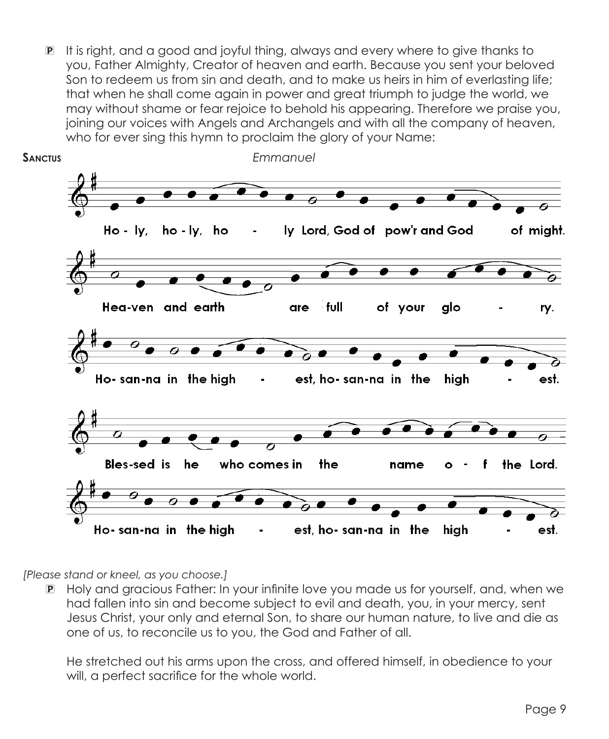P It is right, and a good and joyful thing, always and every where to give thanks to you, Father Almighty, Creator of heaven and earth. Because you sent your beloved Son to redeem us from sin and death, and to make us heirs in him of everlasting life; that when he shall come again in power and great triumph to judge the world, we may without shame or fear rejoice to behold his appearing. Therefore we praise you, joining our voices with Angels and Archangels and with all the company of heaven, who for ever sing this hymn to proclaim the glory of your Name:



*[Please stand or kneel, as you choose.]*

P Holy and gracious Father: In your infinite love you made us for yourself, and, when we had fallen into sin and become subject to evil and death, you, in your mercy, sent Jesus Christ, your only and eternal Son, to share our human nature, to live and die as one of us, to reconcile us to you, the God and Father of all.

 He stretched out his arms upon the cross, and offered himself, in obedience to your will, a perfect sacrifice for the whole world.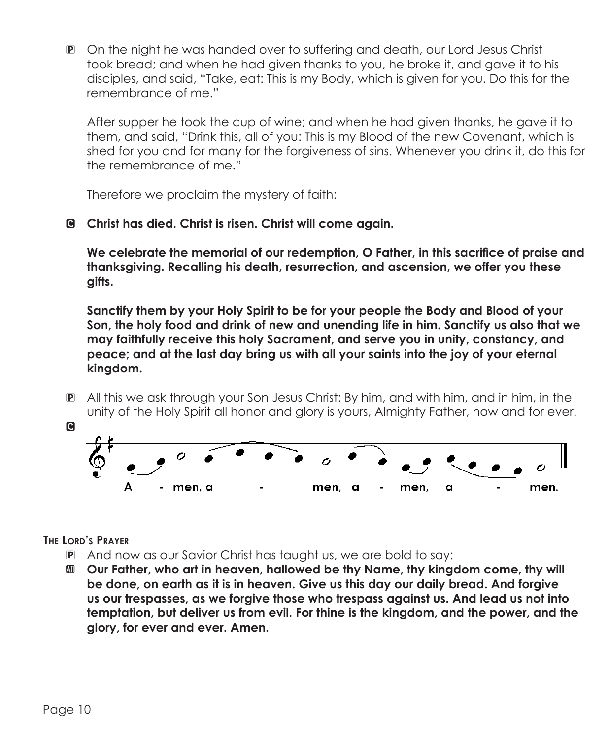P On the night he was handed over to suffering and death, our Lord Jesus Christ took bread; and when he had given thanks to you, he broke it, and gave it to his disciples, and said, "Take, eat: This is my Body, which is given for you. Do this for the remembrance of me."

 After supper he took the cup of wine; and when he had given thanks, he gave it to them, and said, "Drink this, all of you: This is my Blood of the new Covenant, which is shed for you and for many for the forgiveness of sins. Whenever you drink it, do this for the remembrance of me."

Therefore we proclaim the mystery of faith:

C **Christ has died. Christ is risen. Christ will come again.**

**We celebrate the memorial of our redemption, O Father, in this sacrifice of praise and thanksgiving. Recalling his death, resurrection, and ascension, we offer you these gifts.**

 **Sanctify them by your Holy Spirit to be for your people the Body and Blood of your Son, the holy food and drink of new and unending life in him. Sanctify us also that we may faithfully receive this holy Sacrament, and serve you in unity, constancy, and peace; and at the last day bring us with all your saints into the joy of your eternal kingdom.**

P All this we ask through your Son Jesus Christ: By him, and with him, and in him, in the unity of the Holy Spirit all honor and glory is yours, Almighty Father, now and for ever.



**The Lord's Prayer**

- P And now as our Savior Christ has taught us, we are bold to say:
- a **Our Father, who art in heaven, hallowed be thy Name, thy kingdom come, thy will be done, on earth as it is in heaven. Give us this day our daily bread. And forgive us our trespasses, as we forgive those who trespass against us. And lead us not into temptation, but deliver us from evil. For thine is the kingdom, and the power, and the glory, for ever and ever. Amen.**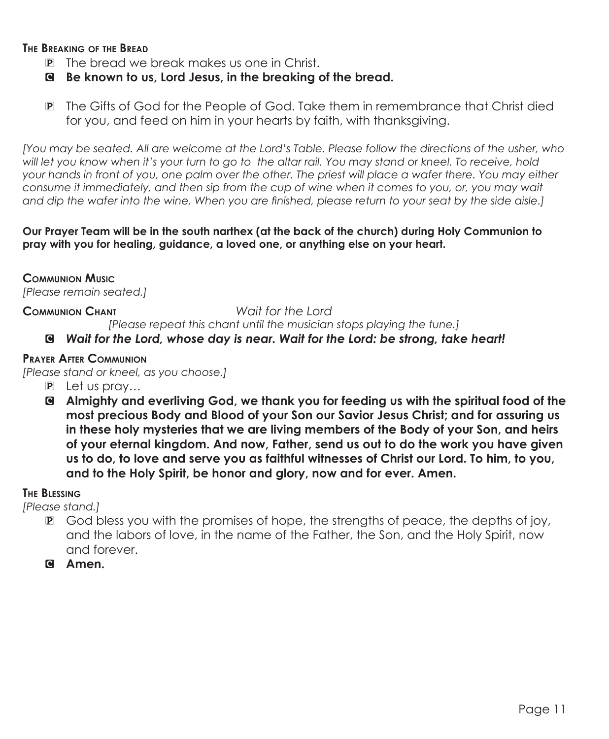## **The Breaking of the Bread**

- P The bread we break makes us one in Christ.
- C **Be known to us, Lord Jesus, in the breaking of the bread.**
- P The Gifts of God for the People of God. Take them in remembrance that Christ died for you, and feed on him in your hearts by faith, with thanksgiving.

*[You may be seated. All are welcome at the Lord's Table. Please follow the directions of the usher, who will let you know when it's your turn to go to the altar rail. You may stand or kneel. To receive, hold your hands in front of you, one palm over the other. The priest will place a wafer there. You may either consume it immediately, and then sip from the cup of wine when it comes to you, or, you may wait and dip the wafer into the wine. When you are finished, please return to your seat by the side aisle.]*

### **Our Prayer Team will be in the south narthex (at the back of the church) during Holy Communion to pray with you for healing, guidance, a loved one, or anything else on your heart.**

**Communion Music** *[Please remain seated.]*

## **Communion Chant** *Wait for the Lord*

*[Please repeat this chant until the musician stops playing the tune.]*

## C *Wait for the Lord, whose day is near. Wait for the Lord: be strong, take heart!*

## **Prayer After Communion**

*[Please stand or kneel, as you choose.]*

- P Let us pray…
- C **Almighty and everliving God, we thank you for feeding us with the spiritual food of the most precious Body and Blood of your Son our Savior Jesus Christ; and for assuring us in these holy mysteries that we are living members of the Body of your Son, and heirs of your eternal kingdom. And now, Father, send us out to do the work you have given us to do, to love and serve you as faithful witnesses of Christ our Lord. To him, to you, and to the Holy Spirit, be honor and glory, now and for ever. Amen.**

## **The Blessing**

*[Please stand.]*

- P God bless you with the promises of hope, the strengths of peace, the depths of joy, and the labors of love, in the name of the Father, the Son, and the Holy Spirit, now and forever.
- C **Amen.**